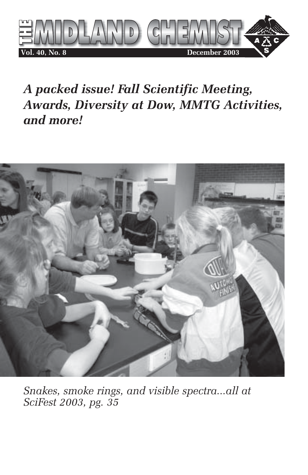

*A packed issue! Fall Scientific Meeting, Awards, Diversity at Dow, MMTG Activities, and more!*



*Snakes, smoke rings, and visible spectra...all at SciFest 2003, pg. 35*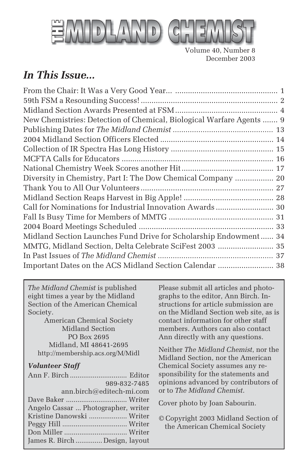

Volume 40, Number 8 December 2003

### *In This Issue...*

| New Chemistries: Detection of Chemical, Biological Warfare Agents  9 |  |
|----------------------------------------------------------------------|--|
|                                                                      |  |
|                                                                      |  |
|                                                                      |  |
|                                                                      |  |
|                                                                      |  |
| Diversity in Chemistry, Part I: The Dow Chemical Company  20         |  |
|                                                                      |  |
|                                                                      |  |
| Call for Nominations for Industrial Innovation Awards  30            |  |
|                                                                      |  |
|                                                                      |  |
| Midland Section Launches Fund Drive for Scholarship Endowment 34     |  |
| MMTG, Midland Section, Delta Celebrate SciFest 2003  35              |  |
|                                                                      |  |
| Important Dates on the ACS Midland Section Calendar  38              |  |

*The Midland Chemist* is published eight times a year by the Midland Section of the American Chemical Society.

American Chemical Society Midland Section PO Box 2695 Midland, MI 48641-2695 http://membership.acs.org/M/Midl

#### *Volunteer Staff*

| 989-832-7485                        |  |
|-------------------------------------|--|
| ann.birch@editech-mi.com            |  |
|                                     |  |
| Angelo Cassar  Photographer, writer |  |
| Kristine Danowski  Writer           |  |
|                                     |  |
|                                     |  |
| James R. Birch  Design, layout      |  |

Please submit all articles and photographs to the editor, Ann Birch. Instructions for article submission are on the Midland Section web site, as is contact information for other staff members. Authors can also contact Ann directly with any questions.

Neither *The Midland Chemist*, nor the Midland Section, nor the American Chemical Society assumes any responsibility for the statements and opinions advanced by contributors of or to *The Midland Chemist*.

Cover photo by Joan Sabourin.

© Copyright 2003 Midland Section of the American Chemical Society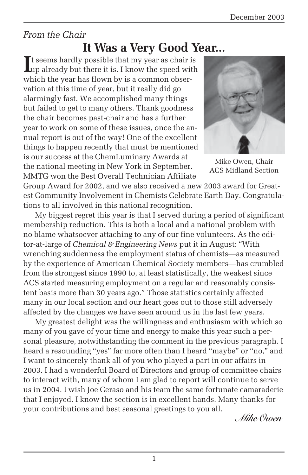#### *From the Chair*

### **It Was a Very Good Year...**

If seems hardly possible that my year as chair is<br>
up already but there it is. I know the speed with Lup already but there it is. I know the speed with which the year has flown by is a common observation at this time of year, but it really did go alarmingly fast. We accomplished many things but failed to get to many others. Thank goodness the chair becomes past-chair and has a further year to work on some of these issues, once the annual report is out of the way! One of the excellent things to happen recently that must be mentioned is our success at the ChemLuminary Awards at the national meeting in New York in September. MMTG won the Best Overall Technician Affiliate



Mike Owen, Chair ACS Midland Section

Group Award for 2002, and we also received a new 2003 award for Greatest Community Involvement in Chemists Celebrate Earth Day. Congratulations to all involved in this national recognition.

My biggest regret this year is that I served during a period of significant membership reduction. This is both a local and a national problem with no blame whatsoever attaching to any of our fine volunteers. As the editor-at-large of *Chemical & Engineering News* put it in August: "With wrenching suddenness the employment status of chemists—as measured by the experience of American Chemical Society members—has crumbled from the strongest since 1990 to, at least statistically, the weakest since ACS started measuring employment on a regular and reasonably consistent basis more than 30 years ago." Those statistics certainly affected many in our local section and our heart goes out to those still adversely affected by the changes we have seen around us in the last few years.

My greatest delight was the willingness and enthusiasm with which so many of you gave of your time and energy to make this year such a personal pleasure, notwithstanding the comment in the previous paragraph. I heard a resounding "yes" far more often than I heard "maybe" or "no," and I want to sincerely thank all of you who played a part in our affairs in 2003. I had a wonderful Board of Directors and group of committee chairs to interact with, many of whom I am glad to report will continue to serve us in 2004. I wish Joe Ceraso and his team the same fortunate camaraderie that I enjoyed. I know the section is in excellent hands. Many thanks for your contributions and best seasonal greetings to you all.

Mike Owen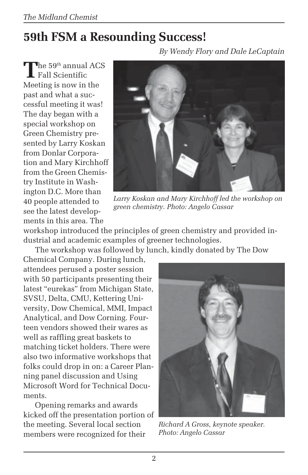### **59th FSM a Resounding Success!**

*By Wendy Flory and Dale LeCaptain*

**The 59<sup>th</sup> annual ACS** Fall Scientific Meeting is now in the past and what a successful meeting it was! The day began with a special workshop on Green Chemistry presented by Larry Koskan from Donlar Corporation and Mary Kirchhoff from the Green Chemistry Institute in Washington D.C. More than 40 people attended to see the latest developments in this area. The



*Larry Koskan and Mary Kirchhoff led the workshop on green chemistry. Photo: Angelo Cassar*

workshop introduced the principles of green chemistry and provided industrial and academic examples of greener technologies.

The workshop was followed by lunch, kindly donated by The Dow

Chemical Company. During lunch, attendees perused a poster session with 50 participants presenting their latest "eurekas" from Michigan State, SVSU, Delta, CMU, Kettering University, Dow Chemical, MMI, Impact Analytical, and Dow Corning. Fourteen vendors showed their wares as well as raffling great baskets to matching ticket holders. There were also two informative workshops that folks could drop in on: a Career Planning panel discussion and Using Microsoft Word for Technical Documents.

Opening remarks and awards kicked off the presentation portion of the meeting. Several local section members were recognized for their



*Richard A Gross, keynote speaker. Photo: Angelo Cassar*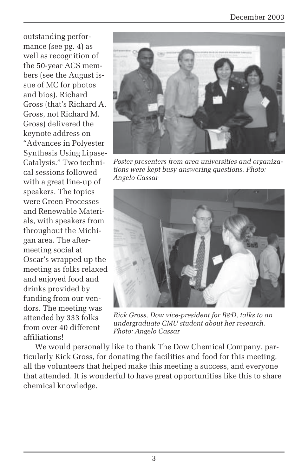outstanding performance (see pg. 4) as well as recognition of the 50-year ACS members (see the August issue of MC for photos and bios). Richard Gross (that's Richard A. Gross, not Richard M. Gross) delivered the keynote address on "Advances in Polyester Synthesis Using Lipase-Catalysis." Two technical sessions followed with a great line-up of speakers. The topics were Green Processes and Renewable Materials, with speakers from throughout the Michigan area. The aftermeeting social at Oscar's wrapped up the meeting as folks relaxed and enjoyed food and drinks provided by funding from our vendors. The meeting was attended by 333 folks from over 40 different affiliations!



*Poster presenters from area universities and organizations were kept busy answering questions. Photo: Angelo Cassar*



*Rick Gross, Dow vice-president for R&D, talks to an undergraduate CMU student about her research. Photo: Angelo Cassar*

We would personally like to thank The Dow Chemical Company, particularly Rick Gross, for donating the facilities and food for this meeting, all the volunteers that helped make this meeting a success, and everyone that attended. It is wonderful to have great opportunities like this to share chemical knowledge.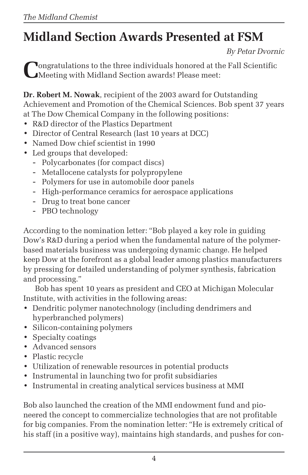## **Midland Section Awards Presented at FSM**

*By Petar Dvornic*

**Congratulations to the three individuals honored at the Fall Scientific** Meeting with Midland Section awards! Please meet:

**Dr. Robert M. Nowak**, recipient of the 2003 award for Outstanding Achievement and Promotion of the Chemical Sciences. Bob spent 37 years at The Dow Chemical Company in the following positions:

- R&D director of the Plastics Department
- Director of Central Research (last 10 years at DCC)
- Named Dow chief scientist in 1990
- Led groups that developed:
	- Polycarbonates (for compact discs)
	- Metallocene catalysts for polypropylene
	- Polymers for use in automobile door panels
	- High-performance ceramics for aerospace applications
	- Drug to treat bone cancer
	- PBO technology

According to the nomination letter: "Bob played a key role in guiding Dow's R&D during a period when the fundamental nature of the polymerbased materials business was undergoing dynamic change. He helped keep Dow at the forefront as a global leader among plastics manufacturers by pressing for detailed understanding of polymer synthesis, fabrication and processing."

Bob has spent 10 years as president and CEO at Michigan Molecular Institute, with activities in the following areas:

- Dendritic polymer nanotechnology (including dendrimers and hyperbranched polymers)
- Silicon-containing polymers
- Specialty coatings
- Advanced sensors
- Plastic recycle
- Utilization of renewable resources in potential products
- Instrumental in launching two for profit subsidiaries
- Instrumental in creating analytical services business at MMI

Bob also launched the creation of the MMI endowment fund and pioneered the concept to commercialize technologies that are not profitable for big companies. From the nomination letter: "He is extremely critical of his staff (in a positive way), maintains high standards, and pushes for con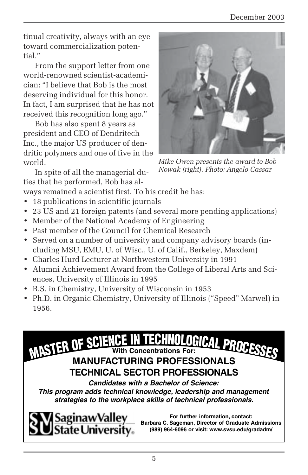tinual creativity, always with an eye toward commercialization potential."

From the support letter from one world-renowned scientist-academician: "I believe that Bob is the most deserving individual for this honor. In fact, I am surprised that he has not received this recognition long ago."

Bob has also spent 8 years as president and CEO of Dendritech Inc., the major US producer of dendritic polymers and one of five in the world.

In spite of all the managerial duties that he performed, Bob has al-



*Mike Owen presents the award to Bob Nowak (right). Photo: Angelo Cassar*

ways remained a scientist first. To his credit he has:

- 18 publications in scientific journals
- 23 US and 21 foreign patents (and several more pending applications)
- Member of the National Academy of Engineering
- Past member of the Council for Chemical Research
- Served on a number of university and company advisory boards (including MSU, EMU, U. of Wisc., U. of Calif., Berkeley, Maxdem)
- Charles Hurd Lecturer at Northwestern University in 1991
- Alumni Achievement Award from the College of Liberal Arts and Sciences, University of Illinois in 1995
- B.S. in Chemistry, University of Wisconsin in 1953
- Ph.D. in Organic Chemistry, University of Illinois ("Speed" Marwel) in 1956.

### MASTER OF SCIENCE IN TECHNOLOGICAL PROCESS! **With Concentrations For:**

**MANUFACTURING PROFESSIONALS TECHNICAL SECTOR PROFESSIONALS**

*Candidates with a Bachelor of Science: This program adds technical knowledge, leadership and management strategies to the workplace skills of technical professionals.*



**For further information, contact: Barbara C. Sageman, Director of Graduate Admissions (989) 964-6096 or visit: www.svsu.edu/gradadm/**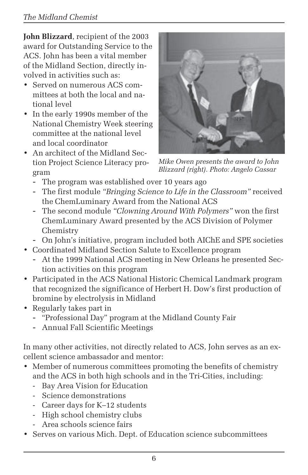**John Blizzard**, recipient of the 2003 award for Outstanding Service to the ACS. John has been a vital member of the Midland Section, directly involved in activities such as:

- Served on numerous ACS committees at both the local and national level
- In the early 1990s member of the National Chemistry Week steering committee at the national level and local coordinator
- An architect of the Midland Section Project Science Literacy program



*Mike Owen presents the award to John Blizzard (right). Photo: Angelo Cassar*

- The program was established over 10 years ago
- The first module *"Bringing Science to Life in the Classroom"* received the ChemLuminary Award from the National ACS
- The second module *"Clowning Around With Polymers"* won the first ChemLuminary Award presented by the ACS Division of Polymer Chemistry
- On John's initiative, program included both AIChE and SPE societies
- Coordinated Midland Section Salute to Excellence program
	- At the 1999 National ACS meeting in New Orleans he presented Section activities on this program
- Participated in the ACS National Historic Chemical Landmark program that recognized the significance of Herbert H. Dow's first production of bromine by electrolysis in Midland
- Regularly takes part in
	- "Professional Day" program at the Midland County Fair
	- Annual Fall Scientific Meetings

In many other activities, not directly related to ACS, John serves as an excellent science ambassador and mentor:

- Member of numerous committees promoting the benefits of chemistry and the ACS in both high schools and in the Tri-Cities, including:
	- Bay Area Vision for Education
	- Science demonstrations
	- Career days for K–12 students
	- High school chemistry clubs
	- Area schools science fairs
- Serves on various Mich. Dept. of Education science subcommittees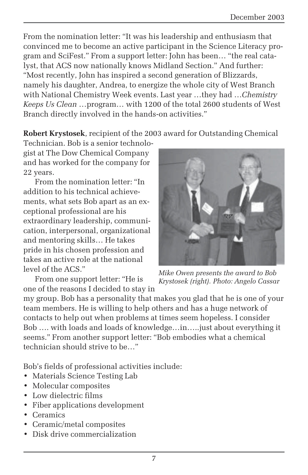From the nomination letter: "It was his leadership and enthusiasm that convinced me to become an active participant in the Science Literacy program and SciFest." From a support letter: John has been… "the real catalyst, that ACS now nationally knows Midland Section." And further: "Most recently, John has inspired a second generation of Blizzards, namely his daughter, Andrea, to energize the whole city of West Branch with National Chemistry Week events. Last year …they had …*Chemistry Keeps Us Clean* …program… with 1200 of the total 2600 students of West Branch directly involved in the hands-on activities."

**Robert Krystosek**, recipient of the 2003 award for Outstanding Chemical

Technician. Bob is a senior technologist at The Dow Chemical Company and has worked for the company for 22 years.

From the nomination letter: "In addition to his technical achievements, what sets Bob apart as an exceptional professional are his extraordinary leadership, communication, interpersonal, organizational and mentoring skills… He takes pride in his chosen profession and takes an active role at the national level of the ACS."

From one support letter: "He is one of the reasons I decided to stay in



*Mike Owen presents the award to Bob Krystosek (right). Photo: Angelo Cassar*

my group. Bob has a personality that makes you glad that he is one of your team members. He is willing to help others and has a huge network of contacts to help out when problems at times seem hopeless. I consider Bob …. with loads and loads of knowledge…in…..just about everything it seems." From another support letter: "Bob embodies what a chemical technician should strive to be…"

Bob's fields of professional activities include:

- Materials Science Testing Lab
- Molecular composites
- Low dielectric films
- Fiber applications development
- Ceramics
- Ceramic/metal composites
- Disk drive commercialization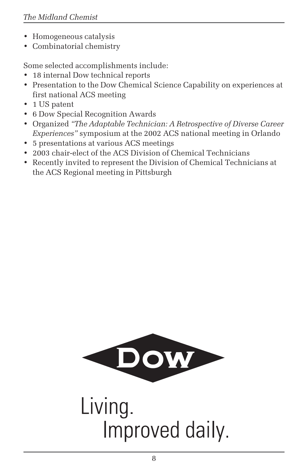- Homogeneous catalysis
- Combinatorial chemistry

Some selected accomplishments include:

- 18 internal Dow technical reports
- Presentation to the Dow Chemical Science Capability on experiences at first national ACS meeting
- 1 US patent
- 6 Dow Special Recognition Awards
- Organized *"The Adaptable Technician: A Retrospective of Diverse Career Experiences"* symposium at the 2002 ACS national meeting in Orlando
- 5 presentations at various ACS meetings
- 2003 chair-elect of the ACS Division of Chemical Technicians
- Recently invited to represent the Division of Chemical Technicians at the ACS Regional meeting in Pittsburgh



# Living. Improved daily.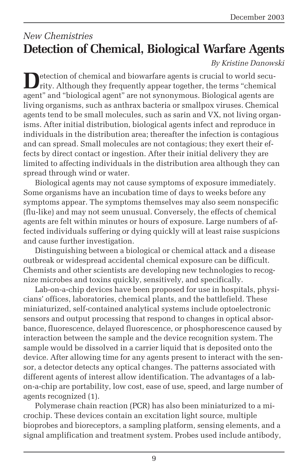### *New Chemistries* **Detection of Chemical, Biological Warfare Agents**

#### *By Kristine Danowski*

**D**etection of chemical and biowarfare agents is crucial to world secu-<br>rity. Although they frequently appear together, the terms "chemical agent" and "biological agent" are not synonymous. Biological agents are living organisms, such as anthrax bacteria or smallpox viruses. Chemical agents tend to be small molecules, such as sarin and VX, not living organisms. After initial distribution, biological agents infect and reproduce in individuals in the distribution area; thereafter the infection is contagious and can spread. Small molecules are not contagious; they exert their effects by direct contact or ingestion. After their initial delivery they are limited to affecting individuals in the distribution area although they can spread through wind or water.

Biological agents may not cause symptoms of exposure immediately. Some organisms have an incubation time of days to weeks before any symptoms appear. The symptoms themselves may also seem nonspecific (flu-like) and may not seem unusual. Conversely, the effects of chemical agents are felt within minutes or hours of exposure. Large numbers of affected individuals suffering or dying quickly will at least raise suspicions and cause further investigation.

Distinguishing between a biological or chemical attack and a disease outbreak or widespread accidental chemical exposure can be difficult. Chemists and other scientists are developing new technologies to recognize microbes and toxins quickly, sensitively, and specifically.

Lab-on-a-chip devices have been proposed for use in hospitals, physicians' offices, laboratories, chemical plants, and the battlefield. These miniaturized, self-contained analytical systems include optoelectronic sensors and output processing that respond to changes in optical absorbance, fluorescence, delayed fluorescence, or phosphorescence caused by interaction between the sample and the device recognition system. The sample would be dissolved in a carrier liquid that is deposited onto the device. After allowing time for any agents present to interact with the sensor, a detector detects any optical changes. The patterns associated with different agents of interest allow identification. The advantages of a labon-a-chip are portability, low cost, ease of use, speed, and large number of agents recognized (1).

Polymerase chain reaction (PCR) has also been miniaturized to a microchip. These devices contain an excitation light source, multiple bioprobes and bioreceptors, a sampling platform, sensing elements, and a signal amplification and treatment system. Probes used include antibody,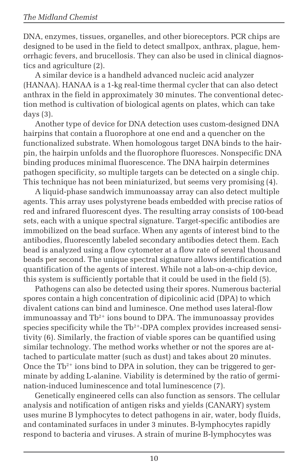DNA, enzymes, tissues, organelles, and other bioreceptors. PCR chips are designed to be used in the field to detect smallpox, anthrax, plague, hemorrhagic fevers, and brucellosis. They can also be used in clinical diagnostics and agriculture (2).

A similar device is a handheld advanced nucleic acid analyzer (HANAA). HANAA is a 1-kg real-time thermal cycler that can also detect anthrax in the field in approximately 30 minutes. The conventional detection method is cultivation of biological agents on plates, which can take days (3).

Another type of device for DNA detection uses custom-designed DNA hairpins that contain a fluorophore at one end and a quencher on the functionalized substrate. When homologous target DNA binds to the hairpin, the hairpin unfolds and the fluorophore fluoresces. Nonspecific DNA binding produces minimal fluorescence. The DNA hairpin determines pathogen specificity, so multiple targets can be detected on a single chip. This technique has not been miniaturized, but seems very promising (4).

A liquid-phase sandwich immunoassay array can also detect multiple agents. This array uses polystyrene beads embedded with precise ratios of red and infrared fluorescent dyes. The resulting array consists of 100-bead sets, each with a unique spectral signature. Target-specific antibodies are immobilized on the bead surface. When any agents of interest bind to the antibodies, fluorescently labeled secondary antibodies detect them. Each bead is analyzed using a flow cytometer at a flow rate of several thousand beads per second. The unique spectral signature allows identification and quantification of the agents of interest. While not a lab-on-a-chip device, this system is sufficiently portable that it could be used in the field (5).

Pathogens can also be detected using their spores. Numerous bacterial spores contain a high concentration of dipicolinic acid (DPA) to which divalent cations can bind and luminesce. One method uses lateral-flow immunoassay and  $Tb^{2+}$  ions bound to DPA. The immunoassay provides species specificity while the Tb<sup>2+</sup>-DPA complex provides increased sensitivity (6). Similarly, the fraction of viable spores can be quantified using similar technology. The method works whether or not the spores are attached to particulate matter (such as dust) and takes about 20 minutes. Once the  $Tb^{2+}$  ions bind to DPA in solution, they can be triggered to germinate by adding L-alanine. Viability is determined by the ratio of germination-induced luminescence and total luminescence (7).

Genetically engineered cells can also function as sensors. The cellular analysis and notification of antigen risks and yields (CANARY) system uses murine B lymphocytes to detect pathogens in air, water, body fluids, and contaminated surfaces in under 3 minutes. B-lymphocytes rapidly respond to bacteria and viruses. A strain of murine B-lymphocytes was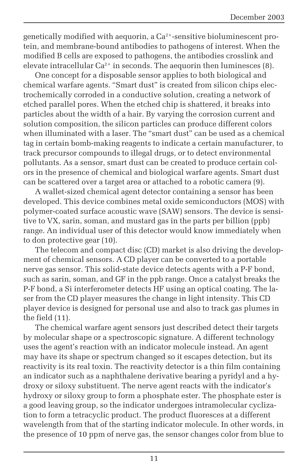genetically modified with aequorin, a  $Ca^{2+}$ -sensitive bioluminescent protein, and membrane-bound antibodies to pathogens of interest. When the modified B cells are exposed to pathogens, the antibodies crosslink and elevate intracellular  $Ca^{2+}$  in seconds. The aequorin then luminesces (8).

One concept for a disposable sensor applies to both biological and chemical warfare agents. "Smart dust" is created from silicon chips electrochemically corroded in a conductive solution, creating a network of etched parallel pores. When the etched chip is shattered, it breaks into particles about the width of a hair. By varying the corrosion current and solution composition, the silicon particles can produce different colors when illuminated with a laser. The "smart dust" can be used as a chemical tag in certain bomb-making reagents to indicate a certain manufacturer, to track precursor compounds to illegal drugs, or to detect environmental pollutants. As a sensor, smart dust can be created to produce certain colors in the presence of chemical and biological warfare agents. Smart dust can be scattered over a target area or attached to a robotic camera (9).

A wallet-sized chemical agent detector containing a sensor has been developed. This device combines metal oxide semiconductors (MOS) with polymer-coated surface acoustic wave (SAW) sensors. The device is sensitive to VX, sarin, soman, and mustard gas in the parts per billion (ppb) range. An individual user of this detector would know immediately when to don protective gear (10).

The telecom and compact disc (CD) market is also driving the development of chemical sensors. A CD player can be converted to a portable nerve gas sensor. This solid-state device detects agents with a P-F bond, such as sarin, soman, and GF in the ppb range. Once a catalyst breaks the P-F bond, a Si interferometer detects HF using an optical coating. The laser from the CD player measures the change in light intensity. This CD player device is designed for personal use and also to track gas plumes in the field (11).

The chemical warfare agent sensors just described detect their targets by molecular shape or a spectroscopic signature. A different technology uses the agent's reaction with an indicator molecule instead. An agent may have its shape or spectrum changed so it escapes detection, but its reactivity is its real toxin. The reactivity detector is a thin film containing an indicator such as a naphthalene derivative bearing a pyridyl and a hydroxy or siloxy substituent. The nerve agent reacts with the indicator's hydroxy or siloxy group to form a phosphate ester. The phosphate ester is a good leaving group, so the indicator undergoes intramolecular cyclization to form a tetracyclic product. The product fluoresces at a different wavelength from that of the starting indicator molecule. In other words, in the presence of 10 ppm of nerve gas, the sensor changes color from blue to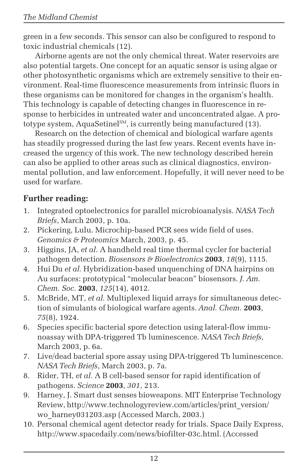green in a few seconds. This sensor can also be configured to respond to toxic industrial chemicals (12).

Airborne agents are not the only chemical threat. Water reservoirs are also potential targets. One concept for an aquatic sensor is using algae or other photosynthetic organisms which are extremely sensitive to their environment. Real-time fluorescence measurements from intrinsic fluors in these organisms can be monitored for changes in the organism's health. This technology is capable of detecting changes in fluorescence in response to herbicides in untreated water and unconcentrated algae. A prototype system, AquaSetinel $\mathbb{S}^M$ , is currently being manufactured (13).

Research on the detection of chemical and biological warfare agents has steadily progressed during the last few years. Recent events have increased the urgency of this work. The new technology described herein can also be applied to other areas such as clinical diagnostics, environmental pollution, and law enforcement. Hopefully, it will never need to be used for warfare.

#### **Further reading:**

- 1. Integrated optoelectronics for parallel microbioanalysis. *NASA Tech Briefs*, March 2003, p. 10a.
- 2. Pickering, Lulu. Microchip-based PCR sees wide field of uses. *Genomics & Proteomics* March, 2003, p. 45.
- 3. Higgins, JA, *et al*. A handheld real time thermal cycler for bacterial pathogen detection. *Biosensors & Bioelectronics* **2003**, *18*(9), 1115.
- 4. Hui Du *et al.* Hybridization-based unquenching of DNA hairpins on Au surfaces: prototypical "molecular beacon" biosensors. *J. Am. Chem. Soc.* **2003**, *125*(14), 4012.
- 5. McBride, MT, *et al.* Multiplexed liquid arrays for simultaneous detection of simulants of biological warfare agents. *Anal. Chem.* **2003**, *75*(8), 1924.
- 6. Species specific bacterial spore detection using lateral-flow immunoassay with DPA-triggered Tb luminescence. *NASA Tech Briefs*, March 2003, p. 6a.
- 7. Live/dead bacterial spore assay using DPA-triggered Tb luminescence. *NASA Tech Briefs*, March 2003, p. 7a.
- 8. Rider, TH, *et al.* A B cell-based sensor for rapid identification of pathogens. *Science* **2003**, *301*, 213.
- 9. Harney, J. Smart dust senses bioweapons. MIT Enterprise Technology Review, http://www.technologyreview.com/articles/print\_version/ wo\_harney031203.asp (Accessed March, 2003.)
- 10. Personal chemical agent detector ready for trials. Space Daily Express, http://www.spacedaily.com/news/biofilter-03c.html. (Accessed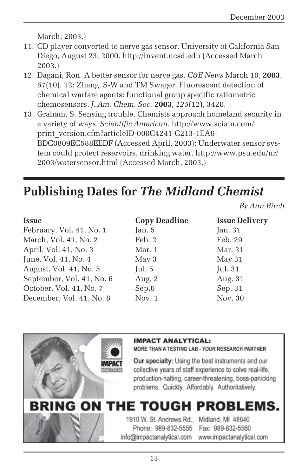March, 2003.)

- 11. CD player converted to nerve gas sensor. University of California San Diego, August 23, 2000. http://invent.ucsd.edu (Accessed March 2003.)
- 12. Dagani, Ron. A better sensor for nerve gas. *C&E News* March 10, **2003**, *81*(10), 12; Zhang, S-W and TM Swager. Fluorescent detection of chemical warfare agents: functional group specific ratiometric chemosensors. *J. Am. Chem. Soc.* **2003**, *125*(12), 3420.
- 13. Graham, S. Sensing trouble. Chemists approach homeland security in a variety of ways. *Scientific American.* http://www.sciam.com/ print\_version.cfm?articleID-000C4241-C213-1EA6-BDC0809EC588EEDF (Accessed April, 2003); Underwater sensor system could protect reservoirs, drinking water. http://www.psu.edu/ur/ 2003/watersensor.html (Accessed March, 2003.)

### **Publishing Dates for** *The Midland Chemist*

*By Ann Birch*

| February, Vol. 41, No. 1  | Jan. 5   | Jan. 31 |
|---------------------------|----------|---------|
| March, Vol. 41, No. 2     | Feb. 2   | Feb. 29 |
| April, Vol. 41, No. 3     | Mar. 1   | Mar. 31 |
| June, Vol. 41, No. 4      | May 3    | May 31  |
| August, Vol. 41, No. 5    | Jul. $5$ | Jul. 31 |
| September, Vol. 41, No. 6 | Aug. 2   | Aug. 31 |
| October, Vol. 41, No. 7   | Sep.6    | Sep. 31 |
| December, Vol. 41, No. 8  | Nov. 1   | Nov. 30 |
|                           |          |         |

#### **Issue Copy Deadline Issue Delivery**

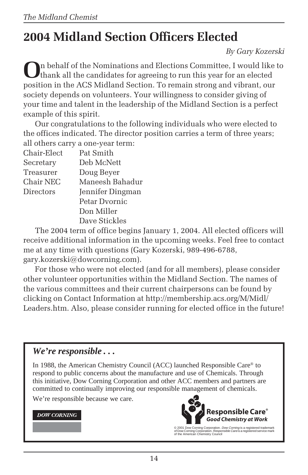## **2004 Midland Section Officers Elected**

*By Gary Kozerski*

**O**n behalf of the Nominations and Elections Committee, I would like to thank all the candidates for agreeing to run this year for an elected position in the ACS Midland Section. To remain strong and vibrant, our society depends on volunteers. Your willingness to consider giving of your time and talent in the leadership of the Midland Section is a perfect example of this spirit.

Our congratulations to the following individuals who were elected to the offices indicated. The director position carries a term of three years; all others carry a one-year term:

| Pat Smith        |
|------------------|
| Deb McNett       |
| Doug Beyer       |
| Maneesh Bahadur  |
| Jennifer Dingman |
| Petar Dvornic    |
| Don Miller       |
| Dave Stickles    |
|                  |

The 2004 term of office begins January 1, 2004. All elected officers will receive additional information in the upcoming weeks. Feel free to contact me at any time with questions (Gary Kozerski, 989-496-6788, gary.kozerski@dowcorning.com).

For those who were not elected (and for all members), please consider other volunteer opportunities within the Midland Section. The names of the various committees and their current chairpersons can be found by clicking on Contact Information at http://membership.acs.org/M/Midl/ Leaders.htm. Also, please consider running for elected office in the future!

#### *We're responsible . . .*

In 1988, the American Chemistry Council (ACC) launched Responsible Care® to respond to public concerns about the manufacture and use of Chemicals. Through this initiative, Dow Corning Corporation and other ACC members and partners are committed to continually improving our responsible management of chemicals.

We're responsible because we care.

#### **DOW CORNING**



© 2001 Dow Corning Corporation. *Dow Corning* is a registered trademark<br>of Dow Corning Corporation. *Responsible Care* is a registered service mark<br>of the American Chemistry Council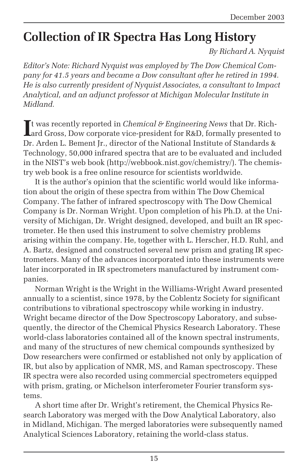### **Collection of IR Spectra Has Long History**

*By Richard A. Nyquist*

*Editor's Note: Richard Nyquist was employed by The Dow Chemical Company for 41.5 years and became a Dow consultant after he retired in 1994. He is also currently president of Nyquist Associates, a consultant to Impact Analytical, and an adjunct professor at Michigan Molecular Institute in Midland.*

It was recently reported in *Chemical & Engineering News* that Dr. Richard Gross, Dow corporate vice-president for R&D, formally presented to t was recently reported in *Chemical & Engineering News* that Dr. Rich-Dr. Arden L. Bement Jr., director of the National Institute of Standards & Technology, 50,000 infrared spectra that are to be evaluated and included in the NIST's web book (http://webbook.nist.gov/chemistry/). The chemistry web book is a free online resource for scientists worldwide.

It is the author's opinion that the scientific world would like information about the origin of these spectra from within The Dow Chemical Company. The father of infrared spectroscopy with The Dow Chemical Company is Dr. Norman Wright. Upon completion of his Ph.D. at the University of Michigan, Dr. Wright designed, developed, and built an IR spectrometer. He then used this instrument to solve chemistry problems arising within the company. He, together with L. Herscher, H.D. Ruhl, and A. Bartz, designed and constructed several new prism and grating IR spectrometers. Many of the advances incorporated into these instruments were later incorporated in IR spectrometers manufactured by instrument companies.

Norman Wright is the Wright in the Williams-Wright Award presented annually to a scientist, since 1978, by the Coblentz Society for significant contributions to vibrational spectroscopy while working in industry. Wright became director of the Dow Spectroscopy Laboratory, and subsequently, the director of the Chemical Physics Research Laboratory. These world-class laboratories contained all of the known spectral instruments, and many of the structures of new chemical compounds synthesized by Dow researchers were confirmed or established not only by application of IR, but also by application of NMR, MS, and Raman spectroscopy. These IR spectra were also recorded using commercial spectrometers equipped with prism, grating, or Michelson interferometer Fourier transform systems.

A short time after Dr. Wright's retirement, the Chemical Physics Research Laboratory was merged with the Dow Analytical Laboratory, also in Midland, Michigan. The merged laboratories were subsequently named Analytical Sciences Laboratory, retaining the world-class status.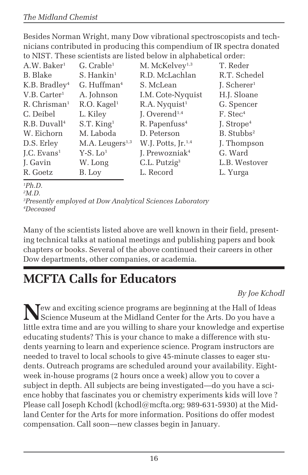Besides Norman Wright, many Dow vibrational spectroscopists and technicians contributed in producing this compendium of IR spectra donated to NIST. These scientists are listed below in alphabetical order:

| A.W. Baker <sup>1</sup>   | $G.$ Crable <sup>1</sup>      | M. McKelvey <sup>1,3</sup> | T. Reder                 |
|---------------------------|-------------------------------|----------------------------|--------------------------|
| B. Blake                  | $S.$ Hankin <sup>1</sup>      | R.D. McLachlan             | R.T. Schedel             |
| K.B. Bradley <sup>4</sup> | G. Huffman <sup>4</sup>       | S. McLean                  | J. $Scherer1$            |
| V.B. Carter <sup>1</sup>  | A. Johnson                    | I.M. Cote-Nyquist          | H.J. Sloane              |
| R. Chrisman <sup>1</sup>  | R.O. Kagel <sup>1</sup>       | R.A. Nyquist <sup>1</sup>  | G. Spencer               |
| C. Deibel                 | L. Kiley                      | J. Overend <sup>1,4</sup>  | F. Stec <sup>4</sup>     |
| R.B. Duvall <sup>4</sup>  | $S.T.$ King <sup>1</sup>      | R. Papenfuss <sup>4</sup>  | J. Strope $4$            |
| W. Eichorn                | M. Laboda                     | D. Peterson                | $B.$ Stubbs <sup>2</sup> |
| D.S. Erley                | $M.A.$ Leugers <sup>1,3</sup> | W.J. Potts, $Jr.^{1,4}$    | J. Thompson              |
| J.C. Evans $1$            | $Y-S.$ $Lo1$                  | J. Prewozniak <sup>4</sup> | G. Ward                  |
| J. Gavin                  | W. Long                       | C.L. Putzig <sup>3</sup>   | L.B. Westover            |
| R. Goetz                  | B. Loy                        | L. Record                  | L. Yurga                 |

*1 Ph.D.*

*2 M.D.*

*3 Presently employed at Dow Analytical Sciences Laboratory 4 Deceased*

Many of the scientists listed above are well known in their field, presenting technical talks at national meetings and publishing papers and book chapters or books. Several of the above continued their careers in other Dow departments, other companies, or academia.

## **MCFTA Calls for Educators**

*By Joe Kchodl*

New and exciting science programs are beginning at the Hall of Ideas Science Museum at the Midland Center for the Arts. Do you have a little extra time and are you willing to share your knowledge and expertise educating students? This is your chance to make a difference with students yearning to learn and experience science. Program instructors are needed to travel to local schools to give 45-minute classes to eager students. Outreach programs are scheduled around your availability. Eightweek in-house programs (2 hours once a week) allow you to cover a subject in depth. All subjects are being investigated—do you have a science hobby that fascinates you or chemistry experiments kids will love ? Please call Joseph Kchodl (kchodl@mcfta.org; 989-631-5930) at the Midland Center for the Arts for more information. Positions do offer modest compensation. Call soon—new classes begin in January.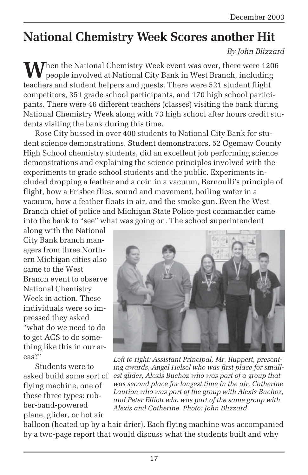### **National Chemistry Week Scores another Hit**

#### *By John Blizzard*

When the National Chemistry Week event was over, there were 1206 people involved at National City Bank in West Branch, including teachers and student helpers and guests. There were 521 student flight competitors, 351 grade school participants, and 170 high school participants. There were 46 different teachers (classes) visiting the bank during National Chemistry Week along with 73 high school after hours credit students visiting the bank during this time.

Rose City bussed in over 400 students to National City Bank for student science demonstrations. Student demonstrators, 52 Ogemaw County High School chemistry students, did an excellent job performing science demonstrations and explaining the science principles involved with the experiments to grade school students and the public. Experiments included dropping a feather and a coin in a vacuum, Bernoulli's principle of flight, how a Frisbee flies, sound and movement, boiling water in a vacuum, how a feather floats in air, and the smoke gun. Even the West Branch chief of police and Michigan State Police post commander came into the bank to "see" what was going on. The school superintendent

along with the National City Bank branch managers from three Northern Michigan cities also came to the West Branch event to observe National Chemistry Week in action. These individuals were so impressed they asked "what do we need to do to get ACS to do something like this in our areas?"

Students were to asked build some sort of flying machine, one of these three types: rubber-band-powered plane, glider, or hot air



*Left to right: Assistant Principal, Mr. Ruppert, presenting awards, Angel Helsel who was first place for smallest glider, Alexis Buchoz who was part of a group that was second place for longest time in the air, Catherine Laurion who was part of the group with Alexis Buchoz, and Peter Elliott who was part of the same group with Alexis and Catherine. Photo: John Blizzard*

balloon (heated up by a hair drier). Each flying machine was accompanied by a two-page report that would discuss what the students built and why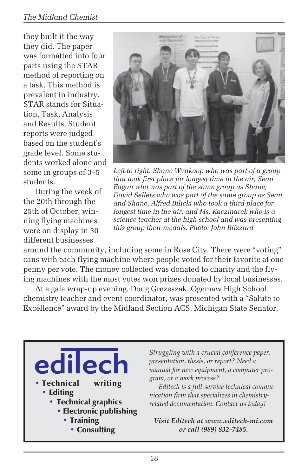#### *The Midland Chemist*

they built it the way they did. The paper was formatted into four parts using the STAR method of reporting on a task. This method is prevalent in industry. STAR stands for Situation, Task, Analysis and Results. Student reports were judged based on the student's grade level. Some students worked alone and some in groups of 3–5 students.

During the week of the 20th through the 25th of October, winning flying machines were on display in 30 different businesses



*Left to right: Shane Wynkoop who was part of a group that took first place for longest time in the air, Sean Eagan who was part of the same group as Shane, David Sellers who was part of the same group as Sean and Shane, Alfred Bilicki who took a third place for longest time in the air, and Ms. Kaczmarek who is a science teacher at the high school and was presenting this group their medals. Photo: John Blizzard*

around the community, including some in Rose City. There were "voting" cans with each flying machine where people voted for their favorite at one penny per vote. The money collected was donated to charity and the flying machines with the most votes won prizes donated by local businesses.

At a gala wrap-up evening, Doug Grezeszak, Ogemaw High School chemistry teacher and event coordinator, was presented with a "Salute to Excellence" award by the Midland Section ACS. Michigan State Senator,



*Struggling with a crucial conference paper, presentation, thesis, or report? Need a manual for new equipment, a computer program, or a work process?*

*Editech is a full-service technical communication firm that specializes in chemistryrelated documentation. Contact us today!*

*Visit Editech at www.editech-mi.com or call (989) 832-7485.*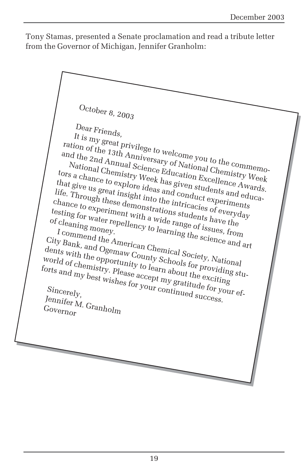Tony Stamas, presented a Senate proclamation and read a tribute letter from the Governor of Michigan, Jennifer Granholm:

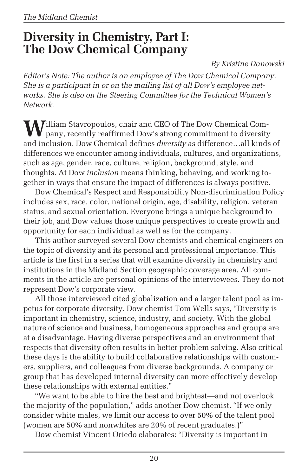### **Diversity in Chemistry, Part I: The Dow Chemical Company**

*By Kristine Danowski*

*Editor's Note: The author is an employee of The Dow Chemical Company. She is a participant in or on the mailing list of all Dow's employee networks. She is also on the Steering Committee for the Technical Women's Network.*

**W**illiam Stavropoulos, chair and CEO of The Dow Chemical Company, recently reaffirmed Dow's strong commitment to diversity and inclusion. Dow Chemical defines *diversity* as difference…all kinds of differences we encounter among individuals, cultures, and organizations, such as age, gender, race, culture, religion, background, style, and thoughts. At Dow *inclusion* means thinking, behaving, and working together in ways that ensure the impact of differences is always positive.

Dow Chemical's Respect and Responsibility Non-discrimination Policy includes sex, race, color, national origin, age, disability, religion, veteran status, and sexual orientation. Everyone brings a unique background to their job, and Dow values those unique perspectives to create growth and opportunity for each individual as well as for the company.

This author surveyed several Dow chemists and chemical engineers on the topic of diversity and its personal and professional importance. This article is the first in a series that will examine diversity in chemistry and institutions in the Midland Section geographic coverage area. All comments in the article are personal opinions of the interviewees. They do not represent Dow's corporate view.

All those interviewed cited globalization and a larger talent pool as impetus for corporate diversity. Dow chemist Tom Wells says, "Diversity is important in chemistry, science, industry, and society. With the global nature of science and business, homogeneous approaches and groups are at a disadvantage. Having diverse perspectives and an environment that respects that diversity often results in better problem solving. Also critical these days is the ability to build collaborative relationships with customers, suppliers, and colleagues from diverse backgrounds. A company or group that has developed internal diversity can more effectively develop these relationships with external entities."

"We want to be able to hire the best and brightest—and not overlook the majority of the population," adds another Dow chemist. "If we only consider white males, we limit our access to over 50% of the talent pool (women are 50% and nonwhites are 20% of recent graduates.)"

Dow chemist Vincent Oriedo elaborates: "Diversity is important in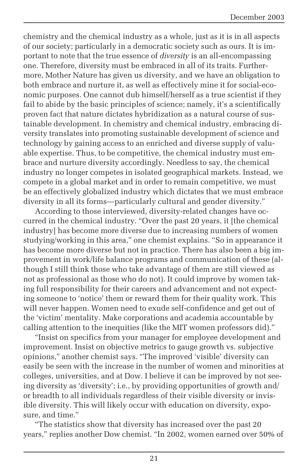chemistry and the chemical industry as a whole, just as it is in all aspects of our society; particularly in a democratic society such as ours. It is important to note that the true essence of *diversity* is an all-encompassing one. Therefore, diversity must be embraced in all of its traits. Furthermore, Mother Nature has given us diversity, and we have an obligation to both embrace and nurture it, as well as effectively mine it for social-economic purposes. One cannot dub himself/herself as a true scientist if they fail to abide by the basic principles of science; namely, it's a scientifically proven fact that nature dictates hybridization as a natural course of sustainable development. In chemistry and chemical industry, embracing diversity translates into promoting sustainable development of science and technology by gaining access to an enriched and diverse supply of valuable expertise. Thus, to be competitive, the chemical industry must embrace and nurture diversity accordingly. Needless to say, the chemical industry no longer competes in isolated geographical markets. Instead, we compete in a global market and in order to remain competitive, we must be an effectively globalized industry which dictates that we must embrace diversity in all its forms—particularly cultural and gender diversity."

According to those interviewed, diversity-related changes have occurred in the chemical industry. "Over the past 20 years, it [the chemical industry] has become more diverse due to increasing numbers of women studying/working in this area," one chemist explains. "So in appearance it has become more diverse but not in practice. There has also been a big improvement in work/life balance programs and communication of these (although I still think those who take advantage of them are still viewed as not as professional as those who do not). It could improve by women taking full responsibility for their careers and advancement and not expecting someone to 'notice' them or reward them for their quality work. This will never happen. Women need to exude self-confidence and get out of the 'victim' mentality. Make corporations and academia accountable by calling attention to the inequities (like the MIT women professors did)."

"Insist on specifics from your manager for employee development and improvement. Insist on objective metrics to gauge growth vs. subjective opinions," another chemist says. "The improved 'visible' diversity can easily be seen with the increase in the number of women and minorities at colleges, universities, and at Dow. I believe it can be improved by not seeing diversity as 'diversity'; i.e., by providing opportunities of growth and/ or breadth to all individuals regardless of their visible diversity or invisible diversity. This will likely occur with education on diversity, exposure, and time."

"The statistics show that diversity has increased over the past 20 years," replies another Dow chemist. "In 2002, women earned over 50% of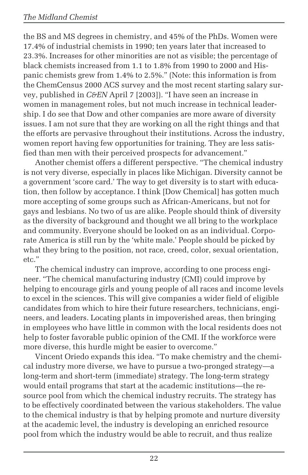the BS and MS degrees in chemistry, and 45% of the PhDs. Women were 17.4% of industrial chemists in 1990; ten years later that increased to 23.3%. Increases for other minorities are not as visible; the percentage of black chemists increased from 1.1 to 1.8% from 1990 to 2000 and Hispanic chemists grew from 1.4% to 2.5%." (Note: this information is from the ChemCensus 2000 ACS survey and the most recent starting salary survey, published in *C&EN* April 7 [2003]). "I have seen an increase in women in management roles, but not much increase in technical leadership. I do see that Dow and other companies are more aware of diversity issues. I am not sure that they are working on all the right things and that the efforts are pervasive throughout their institutions. Across the industry, women report having few opportunities for training. They are less satisfied than men with their perceived prospects for advancement."

Another chemist offers a different perspective. "The chemical industry is not very diverse, especially in places like Michigan. Diversity cannot be a government 'score card.' The way to get diversity is to start with education, then follow by acceptance. I think [Dow Chemical] has gotten much more accepting of some groups such as African-Americans, but not for gays and lesbians. No two of us are alike. People should think of diversity as the diversity of background and thought we all bring to the workplace and community. Everyone should be looked on as an individual. Corporate America is still run by the 'white male.' People should be picked by what they bring to the position, not race, creed, color, sexual orientation, etc."

The chemical industry can improve, according to one process engineer. "The chemical manufacturing industry (CMI) could improve by helping to encourage girls and young people of all races and income levels to excel in the sciences. This will give companies a wider field of eligible candidates from which to hire their future researchers, technicians, engineers, and leaders. Locating plants in impoverished areas, then bringing in employees who have little in common with the local residents does not help to foster favorable public opinion of the CMI. If the workforce were more diverse, this hurdle might be easier to overcome."

Vincent Oriedo expands this idea. "To make chemistry and the chemical industry more diverse, we have to pursue a two-pronged strategy—a long-term and short-term (immediate) strategy. The long-term strategy would entail programs that start at the academic institutions—the resource pool from which the chemical industry recruits. The strategy has to be effectively coordinated between the various stakeholders. The value to the chemical industry is that by helping promote and nurture diversity at the academic level, the industry is developing an enriched resource pool from which the industry would be able to recruit, and thus realize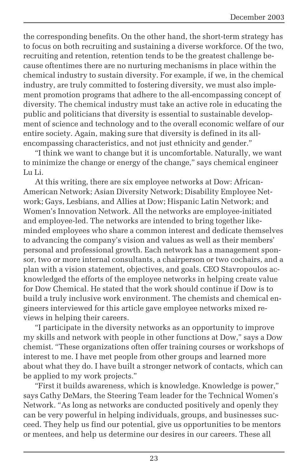the corresponding benefits. On the other hand, the short-term strategy has to focus on both recruiting and sustaining a diverse workforce. Of the two, recruiting and retention, retention tends to be the greatest challenge because oftentimes there are no nurturing mechanisms in place within the chemical industry to sustain diversity. For example, if we, in the chemical industry, are truly committed to fostering diversity, we must also implement promotion programs that adhere to the all-encompassing concept of diversity. The chemical industry must take an active role in educating the public and politicians that diversity is essential to sustainable development of science and technology and to the overall economic welfare of our entire society. Again, making sure that diversity is defined in its allencompassing characteristics, and not just ethnicity and gender."

"I think we want to change but it is uncomfortable. Naturally, we want to minimize the change or energy of the change," says chemical engineer Lu Li.

At this writing, there are six employee networks at Dow: African-American Network; Asian Diversity Network; Disability Employee Network; Gays, Lesbians, and Allies at Dow; Hispanic Latin Network; and Women's Innovation Network. All the networks are employee-initiated and employee-led. The networks are intended to bring together likeminded employees who share a common interest and dedicate themselves to advancing the company's vision and values as well as their members' personal and professional growth. Each network has a management sponsor, two or more internal consultants, a chairperson or two cochairs, and a plan with a vision statement, objectives, and goals. CEO Stavropoulos acknowledged the efforts of the employee networks in helping create value for Dow Chemical. He stated that the work should continue if Dow is to build a truly inclusive work environment. The chemists and chemical engineers interviewed for this article gave employee networks mixed reviews in helping their careers.

"I participate in the diversity networks as an opportunity to improve my skills and network with people in other functions at Dow," says a Dow chemist. "These organizations often offer training courses or workshops of interest to me. I have met people from other groups and learned more about what they do. I have built a stronger network of contacts, which can be applied to my work projects."

"First it builds awareness, which is knowledge. Knowledge is power," says Cathy DeMars, the Steering Team leader for the Technical Women's Network. "As long as networks are conducted positively and openly they can be very powerful in helping individuals, groups, and businesses succeed. They help us find our potential, give us opportunities to be mentors or mentees, and help us determine our desires in our careers. These all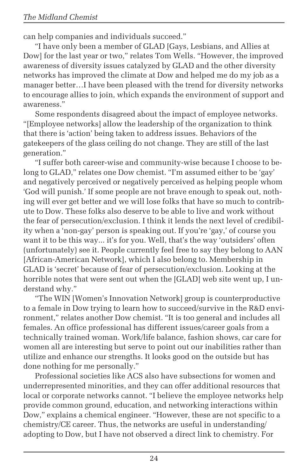can help companies and individuals succeed."

"I have only been a member of GLAD [Gays, Lesbians, and Allies at Dow] for the last year or two," relates Tom Wells. "However, the improved awareness of diversity issues catalyzed by GLAD and the other diversity networks has improved the climate at Dow and helped me do my job as a manager better…I have been pleased with the trend for diversity networks to encourage allies to join, which expands the environment of support and awareness."

Some respondents disagreed about the impact of employee networks. "[Employee networks] allow the leadership of the organization to think that there is 'action' being taken to address issues. Behaviors of the gatekeepers of the glass ceiling do not change. They are still of the last generation."

"I suffer both career-wise and community-wise because I choose to belong to GLAD," relates one Dow chemist. "I'm assumed either to be 'gay' and negatively perceived or negatively perceived as helping people whom 'God will punish.' If some people are not brave enough to speak out, nothing will ever get better and we will lose folks that have so much to contribute to Dow. These folks also deserve to be able to live and work without the fear of persecution/exclusion. I think it lends the next level of credibility when a 'non-gay' person is speaking out. If you're 'gay,' of course you want it to be this way... it's for you. Well, that's the way 'outsiders' often (unfortunately) see it. People currently feel free to say they belong to AAN [African-American Network], which I also belong to. Membership in GLAD is 'secret' because of fear of persecution/exclusion. Looking at the horrible notes that were sent out when the [GLAD] web site went up, I understand why."

"The WIN [Women's Innovation Network] group is counterproductive to a female in Dow trying to learn how to succeed/survive in the R&D environment," relates another Dow chemist. "It is too general and includes all females. An office professional has different issues/career goals from a technically trained woman. Work/life balance, fashion shows, car care for women all are interesting but serve to point out our inabilities rather than utilize and enhance our strengths. It looks good on the outside but has done nothing for me personally."

Professional societies like ACS also have subsections for women and underrepresented minorities, and they can offer additional resources that local or corporate networks cannot. "I believe the employee networks help provide common ground, education, and networking interactions within Dow," explains a chemical engineer. "However, these are not specific to a chemistry/CE career. Thus, the networks are useful in understanding/ adopting to Dow, but I have not observed a direct link to chemistry. For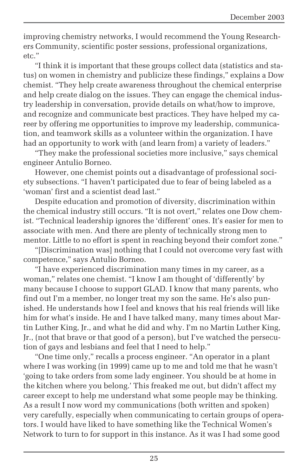improving chemistry networks, I would recommend the Young Researchers Community, scientific poster sessions, professional organizations, etc."

"I think it is important that these groups collect data (statistics and status) on women in chemistry and publicize these findings," explains a Dow chemist. "They help create awareness throughout the chemical enterprise and help create dialog on the issues. They can engage the chemical industry leadership in conversation, provide details on what/how to improve, and recognize and communicate best practices. They have helped my career by offering me opportunities to improve my leadership, communication, and teamwork skills as a volunteer within the organization. I have had an opportunity to work with (and learn from) a variety of leaders."

"They make the professional societies more inclusive," says chemical engineer Antulio Borneo.

However, one chemist points out a disadvantage of professional society subsections. "I haven't participated due to fear of being labeled as a 'woman' first and a scientist dead last."

Despite education and promotion of diversity, discrimination within the chemical industry still occurs. "It is not overt," relates one Dow chemist. "Technical leadership ignores the 'different' ones. It's easier for men to associate with men. And there are plenty of technically strong men to mentor. Little to no effort is spent in reaching beyond their comfort zone."

"[Discrimination was] nothing that I could not overcome very fast with competence," says Antulio Borneo.

"I have experienced discrimination many times in my career, as a woman," relates one chemist. "I know I am thought of 'differently' by many because I choose to support GLAD. I know that many parents, who find out I'm a member, no longer treat my son the same. He's also punished. He understands how I feel and knows that his real friends will like him for what's inside. He and I have talked many, many times about Martin Luther King, Jr., and what he did and why. I'm no Martin Luther King, Jr., (not that brave or that good of a person), but I've watched the persecution of gays and lesbians and feel that I need to help."

"One time only," recalls a process engineer. "An operator in a plant where I was working (in 1999) came up to me and told me that he wasn't 'going to take orders from some lady engineer. You should be at home in the kitchen where you belong.' This freaked me out, but didn't affect my career except to help me understand what some people may be thinking. As a result I now word my communications (both written and spoken) very carefully, especially when communicating to certain groups of operators. I would have liked to have something like the Technical Women's Network to turn to for support in this instance. As it was I had some good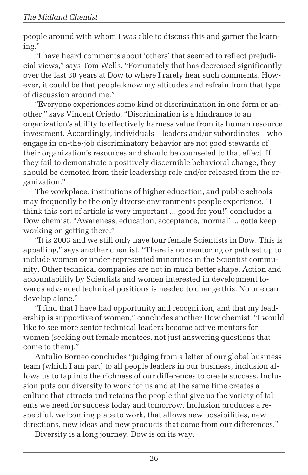people around with whom I was able to discuss this and garner the learning."

"I have heard comments about 'others' that seemed to reflect prejudicial views," says Tom Wells. "Fortunately that has decreased significantly over the last 30 years at Dow to where I rarely hear such comments. However, it could be that people know my attitudes and refrain from that type of discussion around me."

"Everyone experiences some kind of discrimination in one form or another," says Vincent Oriedo. "Discrimination is a hindrance to an organization's ability to effectively harness value from its human resource investment. Accordingly, individuals—leaders and/or subordinates—who engage in on-the-job discriminatory behavior are not good stewards of their organization's resources and should be counseled to that effect. If they fail to demonstrate a positively discernible behavioral change, they should be demoted from their leadership role and/or released from the organization."

The workplace, institutions of higher education, and public schools may frequently be the only diverse environments people experience. "I think this sort of article is very important ... good for you!" concludes a Dow chemist. "Awareness, education, acceptance, 'normal' ... gotta keep working on getting there."

"It is 2003 and we still only have four female Scientists in Dow. This is appalling," says another chemist. "There is no mentoring or path set up to include women or under-represented minorities in the Scientist community. Other technical companies are not in much better shape. Action and accountability by Scientists and women interested in development towards advanced technical positions is needed to change this. No one can develop alone."

"I find that I have had opportunity and recognition, and that my leadership is supportive of women," concludes another Dow chemist. "I would like to see more senior technical leaders become active mentors for women (seeking out female mentees, not just answering questions that come to them)."

Antulio Borneo concludes "judging from a letter of our global business team (which I am part) to all people leaders in our business, inclusion allows us to tap into the richness of our differences to create success. Inclusion puts our diversity to work for us and at the same time creates a culture that attracts and retains the people that give us the variety of talents we need for success today and tomorrow. Inclusion produces a respectful, welcoming place to work, that allows new possibilities, new directions, new ideas and new products that come from our differences."

Diversity is a long journey. Dow is on its way.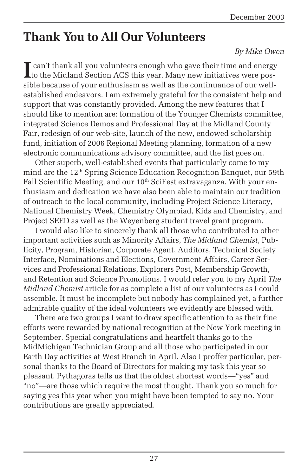### **Thank You to All Our Volunteers**

#### *By Mike Owen*

**I** can't thank all you volunteers enough who gave their time and energy to the Midland Section ACS this year. Many new initiatives were posto the Midland Section ACS this year. Many new initiatives were possible because of your enthusiasm as well as the continuance of our wellestablished endeavors. I am extremely grateful for the consistent help and support that was constantly provided. Among the new features that I should like to mention are: formation of the Younger Chemists committee, integrated Science Demos and Professional Day at the Midland County Fair, redesign of our web-site, launch of the new, endowed scholarship fund, initiation of 2006 Regional Meeting planning, formation of a new electronic communications advisory committee, and the list goes on.

Other superb, well-established events that particularly come to my mind are the 12<sup>th</sup> Spring Science Education Recognition Banquet, our 59th Fall Scientific Meeting, and our 10<sup>th</sup> SciFest extravaganza. With your enthusiasm and dedication we have also been able to maintain our tradition of outreach to the local community, including Project Science Literacy, National Chemistry Week, Chemistry Olympiad, Kids and Chemistry, and Project SEED as well as the Weyenberg student travel grant program.

I would also like to sincerely thank all those who contributed to other important activities such as Minority Affairs, *The Midland Chemist*, Publicity, Program, Historian, Corporate Agent, Auditors, Technical Society Interface, Nominations and Elections, Government Affairs, Career Services and Professional Relations, Explorers Post, Membership Growth, and Retention and Science Promotions. I would refer you to my April *The Midland Chemist* article for as complete a list of our volunteers as I could assemble. It must be incomplete but nobody has complained yet, a further admirable quality of the ideal volunteers we evidently are blessed with.

There are two groups I want to draw specific attention to as their fine efforts were rewarded by national recognition at the New York meeting in September. Special congratulations and heartfelt thanks go to the MidMichigan Technician Group and all those who participated in our Earth Day activities at West Branch in April. Also I proffer particular, personal thanks to the Board of Directors for making my task this year so pleasant. Pythagoras tells us that the oldest shortest words—"yes" and "no"—are those which require the most thought. Thank you so much for saying yes this year when you might have been tempted to say no. Your contributions are greatly appreciated.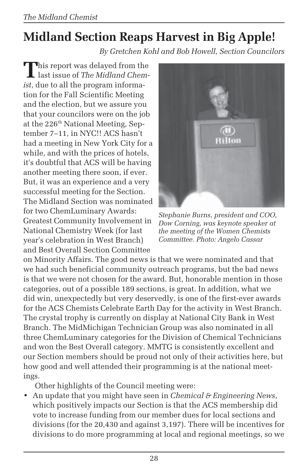## **Midland Section Reaps Harvest in Big Apple!**

*By Gretchen Kohl and Bob Howell, Section Councilors*

This report was delayed from the last issue of *The Midland Chemist*, due to all the program information for the Fall Scientific Meeting and the election, but we assure you that your councilors were on the job at the 226<sup>th</sup> National Meeting, September 7–11, in NYC!! ACS hasn't had a meeting in New York City for a while, and with the prices of hotels, it's doubtful that ACS will be having another meeting there soon, if ever. But, it was an experience and a very successful meeting for the Section. The Midland Section was nominated for two ChemLuminary Awards: Greatest Community Involvement in National Chemistry Week (for last year's celebration in West Branch) and Best Overall Section Committee



*Stephanie Burns, president and COO, Dow Corning, was keynote speaker at the meeting of the Women Chemists Committee. Photo: Angelo Cassar*

on Minority Affairs. The good news is that we were nominated and that we had such beneficial community outreach programs, but the bad news is that we were not chosen for the award. But, honorable mention in those categories, out of a possible 189 sections, is great. In addition, what we did win, unexpectedly but very deservedly, is one of the first-ever awards for the ACS Chemists Celebrate Earth Day for the activity in West Branch. The crystal trophy is currently on display at National City Bank in West Branch. The MidMichigan Technician Group was also nominated in all three ChemLuminary categories for the Division of Chemical Technicians and won the Best Overall category. MMTG is consistently excellent and our Section members should be proud not only of their activities here, but how good and well attended their programming is at the national meetings.

Other highlights of the Council meeting were:

• An update that you might have seen in *Chemical & Engineering News*, which positively impacts our Section is that the ACS membership did vote to increase funding from our member dues for local sections and divisions (for the 20,430 and against 3,197). There will be incentives for divisions to do more programming at local and regional meetings, so we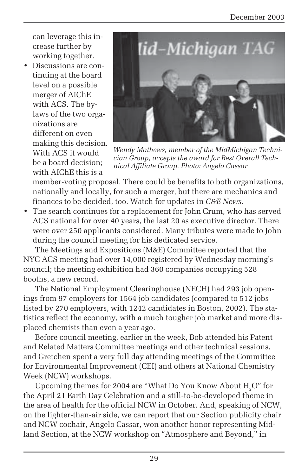can leverage this increase further by working together.

• Discussions are continuing at the board level on a possible merger of AIChE with ACS. The bylaws of the two organizations are different on even making this decision. With ACS it would be a board decision; with AIChE this is a



*Wendy Mathews, member of the MidMichigan Technician Group, accepts the award for Best Overall Technical Affiliate Group. Photo: Angelo Cassar*

member-voting proposal. There could be benefits to both organizations, nationally and locally, for such a merger, but there are mechanics and finances to be decided, too. Watch for updates in *C&E News.*

• The search continues for a replacement for John Crum, who has served ACS national for over 40 years, the last 20 as executive director. There were over 250 applicants considered. Many tributes were made to John during the council meeting for his dedicated service.

The Meetings and Expositions (M&E) Committee reported that the NYC ACS meeting had over 14,000 registered by Wednesday morning's council; the meeting exhibition had 360 companies occupying 528 booths, a new record.

The National Employment Clearinghouse (NECH) had 293 job openings from 97 employers for 1564 job candidates (compared to 512 jobs listed by 270 employers, with 1242 candidates in Boston, 2002). The statistics reflect the economy, with a much tougher job market and more displaced chemists than even a year ago.

Before council meeting, earlier in the week, Bob attended his Patent and Related Matters Committee meetings and other technical sessions, and Gretchen spent a very full day attending meetings of the Committee for Environmental Improvement (CEI) and others at National Chemistry Week (NCW) workshops.

Upcoming themes for 2004 are "What Do You Know About H<sub>2</sub>O" for the April 21 Earth Day Celebration and a still-to-be-developed theme in the area of health for the official NCW in October. And, speaking of NCW, on the lighter-than-air side, we can report that our Section publicity chair and NCW cochair, Angelo Cassar, won another honor representing Midland Section, at the NCW workshop on "Atmosphere and Beyond," in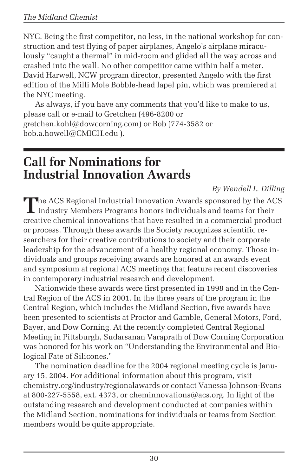NYC. Being the first competitor, no less, in the national workshop for construction and test flying of paper airplanes, Angelo's airplane miraculously "caught a thermal" in mid-room and glided all the way across and crashed into the wall. No other competitor came within half a meter. David Harwell, NCW program director, presented Angelo with the first edition of the Milli Mole Bobble-head lapel pin, which was premiered at the NYC meeting.

As always, if you have any comments that you'd like to make to us, please call or e-mail to Gretchen (496-8200 or gretchen.kohl@dowcorning.com) or Bob (774-3582 or bob.a.howell@CMICH.edu ).

### **Call for Nominations for Industrial Innovation Awards**

#### *By Wendell L. Dilling*

**T**he ACS Regional Industrial Innovation Awards sponsored by the ACS **L** Industry Members Programs honors individuals and teams for their creative chemical innovations that have resulted in a commercial product or process. Through these awards the Society recognizes scientific researchers for their creative contributions to society and their corporate leadership for the advancement of a healthy regional economy. Those individuals and groups receiving awards are honored at an awards event and symposium at regional ACS meetings that feature recent discoveries in contemporary industrial research and development.

Nationwide these awards were first presented in 1998 and in the Central Region of the ACS in 2001. In the three years of the program in the Central Region, which includes the Midland Section, five awards have been presented to scientists at Proctor and Gamble, General Motors, Ford, Bayer, and Dow Corning. At the recently completed Central Regional Meeting in Pittsburgh, Sudarsanan Varaprath of Dow Corning Corporation was honored for his work on "Understanding the Environmental and Biological Fate of Silicones."

The nomination deadline for the 2004 regional meeting cycle is January 15, 2004. For additional information about this program, visit chemistry.org/industry/regionalawards or contact Vanessa Johnson-Evans at 800-227-5558, ext. 4373, or cheminnovations  $@$  acs.org. In light of the outstanding research and development conducted at companies within the Midland Section, nominations for individuals or teams from Section members would be quite appropriate.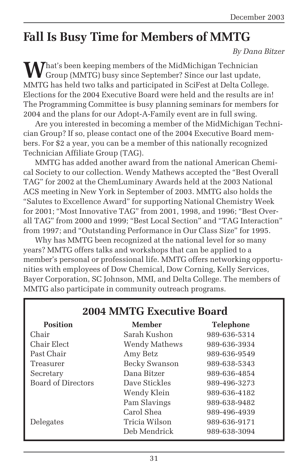### **Fall Is Busy Time for Members of MMTG**

#### *By Dana Bitzer*

**W**hat's been keeping members of the MidMichigan Technician Group (MMTG) busy since September? Since our last update, MMTG has held two talks and participated in SciFest at Delta College. Elections for the 2004 Executive Board were held and the results are in! The Programming Committee is busy planning seminars for members for 2004 and the plans for our Adopt-A-Family event are in full swing.

Are you interested in becoming a member of the MidMichigan Technician Group? If so, please contact one of the 2004 Executive Board members. For \$2 a year, you can be a member of this nationally recognized Technician Affiliate Group (TAG).

MMTG has added another award from the national American Chemical Society to our collection. Wendy Mathews accepted the "Best Overall TAG" for 2002 at the ChemLuminary Awards held at the 2003 National ACS meeting in New York in September of 2003. MMTG also holds the "Salutes to Excellence Award" for supporting National Chemistry Week for 2001; "Most Innovative TAG" from 2001, 1998, and 1996; "Best Overall TAG" from 2000 and 1999; "Best Local Section" and "TAG Interaction" from 1997; and "Outstanding Performance in Our Class Size" for 1995.

Why has MMTG been recognized at the national level for so many years? MMTG offers talks and workshops that can be applied to a member's personal or professional life. MMTG offers networking opportunities with employees of Dow Chemical, Dow Corning, Kelly Services, Bayer Corporation, SC Johnson, MMI, and Delta College. The members of MMTG also participate in community outreach programs.

| <b>2004 MMTG Executive Board</b> |                      |                  |  |
|----------------------------------|----------------------|------------------|--|
| <b>Position</b>                  | <b>Member</b>        | <b>Telephone</b> |  |
| Chair                            | Sarah Kushon         | 989-636-5314     |  |
| Chair Elect                      | Wendy Mathews        | 989-636-3934     |  |
| Past Chair                       | Amy Betz             | 989-636-9549     |  |
| Treasurer                        | <b>Becky Swanson</b> | 989-638-5343     |  |
| Secretary                        | Dana Bitzer          | 989-636-4854     |  |
| Board of Directors               | Dave Stickles        | 989-496-3273     |  |
|                                  | Wendy Klein          | 989-636-4182     |  |
|                                  | Pam Slavings         | 989-638-9482     |  |
|                                  | Carol Shea           | 989-496-4939     |  |
| Delegates                        | Tricia Wilson        | 989-636-9171     |  |
|                                  | Deb Mendrick         | 989-638-3094     |  |

#### 31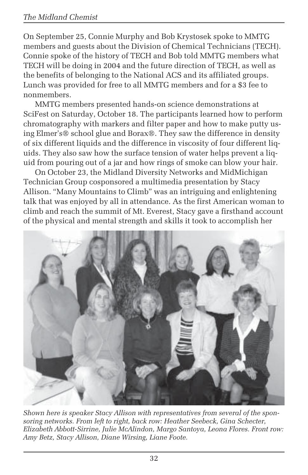#### *The Midland Chemist*

On September 25, Connie Murphy and Bob Krystosek spoke to MMTG members and guests about the Division of Chemical Technicians (TECH). Connie spoke of the history of TECH and Bob told MMTG members what TECH will be doing in 2004 and the future direction of TECH, as well as the benefits of belonging to the National ACS and its affiliated groups. Lunch was provided for free to all MMTG members and for a \$3 fee to nonmembers.

MMTG members presented hands-on science demonstrations at SciFest on Saturday, October 18. The participants learned how to perform chromatography with markers and filter paper and how to make putty using Elmer's® school glue and Borax®. They saw the difference in density of six different liquids and the difference in viscosity of four different liquids. They also saw how the surface tension of water helps prevent a liquid from pouring out of a jar and how rings of smoke can blow your hair.

On October 23, the Midland Diversity Networks and MidMichigan Technician Group cosponsored a multimedia presentation by Stacy Allison. "Many Mountains to Climb" was an intriguing and enlightening talk that was enjoyed by all in attendance. As the first American woman to climb and reach the summit of Mt. Everest, Stacy gave a firsthand account of the physical and mental strength and skills it took to accomplish her



*Shown here is speaker Stacy Allison with representatives from several of the sponsoring networks. From left to right, back row: Heather Seebeck, Gina Schecter, Elizabeth Abbott-Sirrine, Julie McAlindon, Margo Santoya, Leona Flores. Front row: Amy Betz, Stacy Allison, Diane Wirsing, Liane Foote.*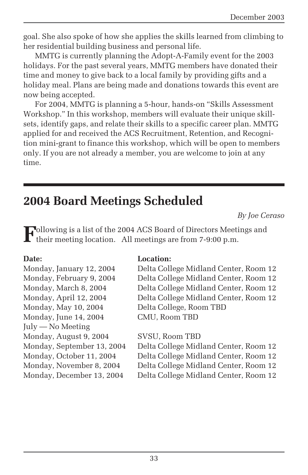goal. She also spoke of how she applies the skills learned from climbing to her residential building business and personal life.

MMTG is currently planning the Adopt-A-Family event for the 2003 holidays. For the past several years, MMTG members have donated their time and money to give back to a local family by providing gifts and a holiday meal. Plans are being made and donations towards this event are now being accepted.

For 2004, MMTG is planning a 5-hour, hands-on "Skills Assessment Workshop." In this workshop, members will evaluate their unique skillsets, identify gaps, and relate their skills to a specific career plan. MMTG applied for and received the ACS Recruitment, Retention, and Recognition mini-grant to finance this workshop, which will be open to members only. If you are not already a member, you are welcome to join at any time.

### **2004 Board Meetings Scheduled**

*By Joe Ceraso*

**F**ollowing is a list of the 2004 ACS Board of Directors Meetings and their meeting location  $\frac{1}{2}$ their meeting location. All meetings are from 7-9:00 p.m.

Monday, May 10, 2004 Delta College, Room TBD Monday, June 14, 2004 CMU, Room TBD July — No Meeting Monday, August 9, 2004 SVSU, Room TBD

#### **Date: Location:**

Monday, January 12, 2004 Delta College Midland Center, Room 12 Monday, February 9, 2004 Delta College Midland Center, Room 12 Monday, March 8, 2004 Delta College Midland Center, Room 12 Monday, April 12, 2004 Delta College Midland Center, Room 12

Monday, September 13, 2004 Delta College Midland Center, Room 12 Monday, October 11, 2004 Delta College Midland Center, Room 12 Monday, November 8, 2004 Delta College Midland Center, Room 12 Monday, December 13, 2004 Delta College Midland Center, Room 12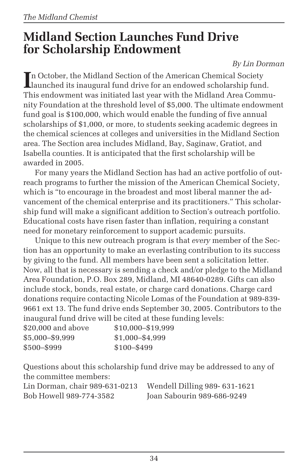### **Midland Section Launches Fund Drive for Scholarship Endowment**

#### *By Lin Dorman*

In October, the Midland Section of the American Chemical Society<br>launched its inaugural fund drive for an endowed scholarship fund. n October, the Midland Section of the American Chemical Society This endowment was initiated last year with the Midland Area Community Foundation at the threshold level of \$5,000. The ultimate endowment fund goal is \$100,000, which would enable the funding of five annual scholarships of \$1,000, or more, to students seeking academic degrees in the chemical sciences at colleges and universities in the Midland Section area. The Section area includes Midland, Bay, Saginaw, Gratiot, and Isabella counties. It is anticipated that the first scholarship will be awarded in 2005.

For many years the Midland Section has had an active portfolio of outreach programs to further the mission of the American Chemical Society, which is "to encourage in the broadest and most liberal manner the advancement of the chemical enterprise and its practitioners." This scholarship fund will make a significant addition to Section's outreach portfolio. Educational costs have risen faster than inflation, requiring a constant need for monetary reinforcement to support academic pursuits.

Unique to this new outreach program is that *every* member of the Section has an opportunity to make an everlasting contribution to its success by giving to the fund. All members have been sent a solicitation letter. Now, all that is necessary is sending a check and/or pledge to the Midland Area Foundation, P.O. Box 289, Midland, MI 48640-0289. Gifts can also include stock, bonds, real estate, or charge card donations. Charge card donations require contacting Nicole Lomas of the Foundation at 989-839- 9661 ext 13. The fund drive ends September 30, 2005. Contributors to the inaugural fund drive will be cited at these funding levels:

| \$20,000 and above | \$10,000-\$19,999 |
|--------------------|-------------------|
| \$5,000-\$9,999    | $$1,000 - $4,999$ |
| \$500-\$999        | $$100 - $499$     |

Questions about this scholarship fund drive may be addressed to any of the committee members:

Lin Dorman, chair 989-631-0213 Wendell Dilling 989- 631-1621 Bob Howell 989-774-3582 Joan Sabourin 989-686-9249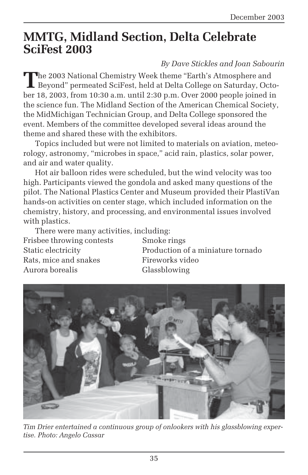### **MMTG, Midland Section, Delta Celebrate SciFest 2003**

#### *By Dave Stickles and Joan Sabourin*

**T**he 2003 National Chemistry Week theme "Earth's Atmosphere and Beyond" permeated SciFest, held at Delta College on Saturday, October 18, 2003, from 10:30 a.m. until 2:30 p.m. Over 2000 people joined in the science fun. The Midland Section of the American Chemical Society, the MidMichigan Technician Group, and Delta College sponsored the event. Members of the committee developed several ideas around the theme and shared these with the exhibitors.

Topics included but were not limited to materials on aviation, meteorology, astronomy, "microbes in space," acid rain, plastics, solar power, and air and water quality.

Hot air balloon rides were scheduled, but the wind velocity was too high. Participants viewed the gondola and asked many questions of the pilot. The National Plastics Center and Museum provided their PlastiVan hands-on activities on center stage, which included information on the chemistry, history, and processing, and environmental issues involved with plastics.

There were many activities, including:

Frisbee throwing contests Smoke rings Rats, mice and snakes Fireworks video Aurora borealis Glassblowing

Static electricity Production of a miniature tornado



*Tim Drier entertained a continuous group of onlookers with his glassblowing expertise. Photo: Angelo Cassar*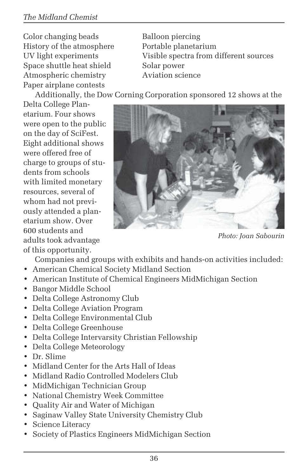Color changing beads Balloon piercing History of the atmosphere Portable planetarium Space shuttle heat shield Solar power Atmospheric chemistry Aviation science Paper airplane contests

UV light experiments Visible spectra from different sources

Additionally, the Dow Corning Corporation sponsored 12 shows at the

Delta College Planetarium. Four shows were open to the public on the day of SciFest. Eight additional shows were offered free of charge to groups of students from schools with limited monetary resources, several of whom had not previously attended a planetarium show. Over 600 students and adults took advantage of this opportunity.



*Photo: Joan Sabourin*

Companies and groups with exhibits and hands-on activities included:

- American Chemical Society Midland Section
- American Institute of Chemical Engineers MidMichigan Section
- Bangor Middle School
- Delta College Astronomy Club
- Delta College Aviation Program
- Delta College Environmental Club
- Delta College Greenhouse
- Delta College Intervarsity Christian Fellowship
- Delta College Meteorology
- Dr. Slime
- Midland Center for the Arts Hall of Ideas
- Midland Radio Controlled Modelers Club
- MidMichigan Technician Group
- National Chemistry Week Committee
- Quality Air and Water of Michigan
- Saginaw Valley State University Chemistry Club
- Science Literacy
- Society of Plastics Engineers MidMichigan Section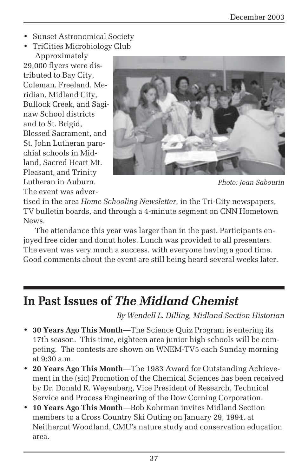- Sunset Astronomical Society
- TriCities Microbiology Club

Approximately 29,000 flyers were distributed to Bay City, Coleman, Freeland, Meridian, Midland City, Bullock Creek, and Saginaw School districts and to St. Brigid, Blessed Sacrament, and St. John Lutheran parochial schools in Midland, Sacred Heart Mt. Pleasant, and Trinity Lutheran in Auburn. The event was adver-



*Photo: Joan Sabourin*

tised in the area *Home Schooling Newsletter*, in the Tri-City newspapers, TV bulletin boards, and through a 4-minute segment on CNN Hometown News.

The attendance this year was larger than in the past. Participants enjoyed free cider and donut holes. Lunch was provided to all presenters. The event was very much a success, with everyone having a good time. Good comments about the event are still being heard several weeks later.

### **In Past Issues of** *The Midland Chemist*

*By Wendell L. Dilling, Midland Section Historian*

- **30 Years Ago This Month**—The Science Quiz Program is entering its 17th season. This time, eighteen area junior high schools will be competing. The contests are shown on WNEM-TV5 each Sunday morning at 9:30 a.m.
- **20 Years Ago This Month**—The 1983 Award for Outstanding Achievement in the (sic) Promotion of the Chemical Sciences has been received by Dr. Donald R. Weyenberg, Vice President of Research, Technical Service and Process Engineering of the Dow Corning Corporation.
- **10 Years Ago This Month**—Bob Kohrman invites Midland Section members to a Cross Country Ski Outing on January 29, 1994, at Neithercut Woodland, CMU's nature study and conservation education area.